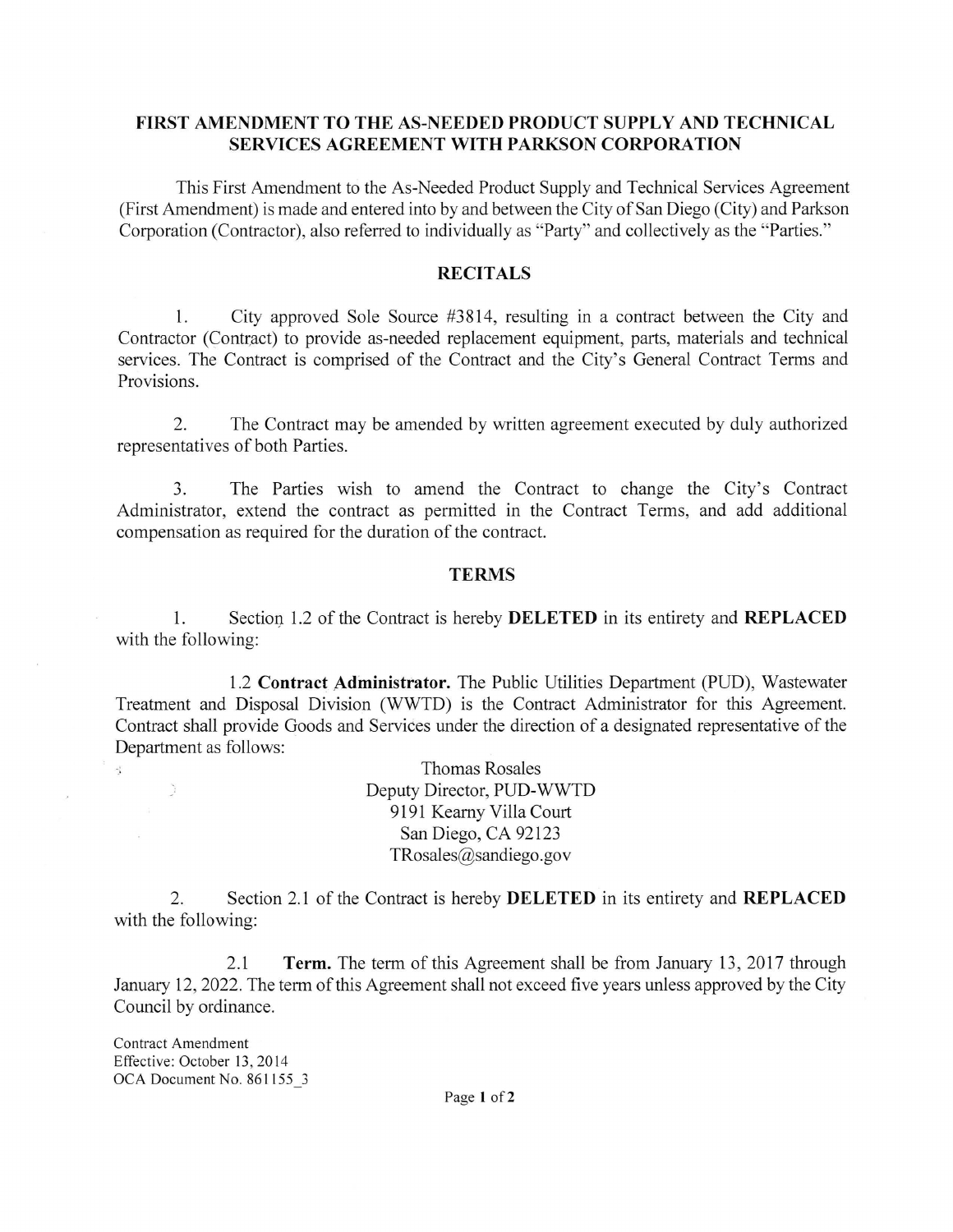## FIRST AMENDMENT TO THE AS-NEEDED PRODUCT SUPPLY AND TECHNICAL **SERVICES AGREEMENT WITH PARKSON CORPORATION**

This First Amendment to the As-Needed Product Supply and Technical Services Agreement (First Amendment) is made and entered into by and between the City of San Diego (City) and Parkson Corporation (Contractor), also referred to individually as "Party" and collectively as the "Parties."

## **RECITALS**

1. City approved Sole Source #3814 , resulting in a contract between the City and Contractor (Contract) to provide as-needed replacement equipment, parts, materials and technical services. The Contract is comprised of the Contract and the City's General Contract Terms and Provisions.

2. The Contract may be amended by written agreement executed by duly authorized representatives of both Parties.

3. The Parties wish to amend the Contract to change the City's Contract Administrator, extend the contract as permitted in the Contract Terms, and add additional compensation as required for the duration of the contract.

## **TERMS**

1. Section 1.2 of the Contract is hereby **DELETED** in its entirety and **REPLACED** with the following:

1.2 **Contract Administrator.** The Public Utilities Department (PUD), Wastewater Treatment and Disposal Division (WWTD) is the Contract Administrator for this Agreement. Contract shall provide Goods and Services under the direction of a designated representative of the Department as follows:

> Thomas Rosales Deputy Director, PUD-WWTD 9191 Kearny Villa Court San Diego, CA 92123 TRosales@sandiego.gov

2. Section 2.1 of the Contract is hereby **DELETED** in its entirety and **REPLACED**  with the following:

2.1 **Term.** The term of this Agreement shall be from January 13, 2017 through January 12, 2022. The term of this Agreement shall not exceed five years unless approved by the City Council by ordinance.

Contract Amendment Effective: October 13, 2014 OCA Document No. 861155\_3

 $\mathcal{L}_{\mathbf{z}}$ 

 $\tilde{\mathcal{L}}$